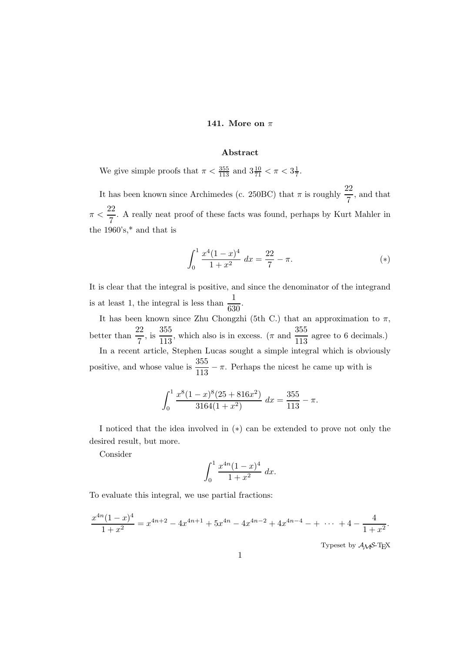## 141. More on  $\pi$

## Abstract

We give simple proofs that  $\pi < \frac{355}{113}$  and  $3\frac{10}{71} < \pi < 3\frac{1}{7}$  $\frac{1}{7}$ .

It has been known since Archimedes (c. 250BC) that  $\pi$  is roughly  $\frac{22}{7}$ , and that  $\pi < \frac{22}{7}$  $\frac{2}{7}$ . A really neat proof of these facts was found, perhaps by Kurt Mahler in the  $1960^{\circ} \text{s},^*$  and that is

$$
\int_0^1 \frac{x^4(1-x)^4}{1+x^2} \, dx = \frac{22}{7} - \pi. \tag{(*)}
$$

It is clear that the integral is positive, and since the denominator of the integrand is at least 1, the integral is less than  $\frac{1}{630}$ .

It has been known since Zhu Chongzhi (5th C.) that an approximation to  $\pi$ , better than  $\frac{22}{7}$ , is  $\frac{355}{113}$  $\frac{355}{113}$ , which also is in excess. ( $\pi$  and  $\frac{355}{113}$  agree to 6 decimals.) In a recent article, Stephen Lucas sought a simple integral which is obviously

positive, and whose value is  $\frac{355}{113} - \pi$ . Perhaps the nicest he came up with is

$$
\int_0^1 \frac{x^8(1-x)^8(25+816x^2)}{3164(1+x^2)} dx = \frac{355}{113} - \pi.
$$

I noticed that the idea involved in (∗) can be extended to prove not only the desired result, but more.

Consider

$$
\int_0^1 \frac{x^{4n}(1-x)^4}{1+x^2} \, dx.
$$

To evaluate this integral, we use partial fractions:

$$
\frac{x^{4n}(1-x)^4}{1+x^2} = x^{4n+2} - 4x^{4n+1} + 5x^{4n} - 4x^{4n-2} + 4x^{4n-4} - \dots + 4 - \frac{4}{1+x^2}.
$$

Typeset by  $\mathcal{A}\mathcal{M} \mathcal{S}\text{-}\text{TEX}$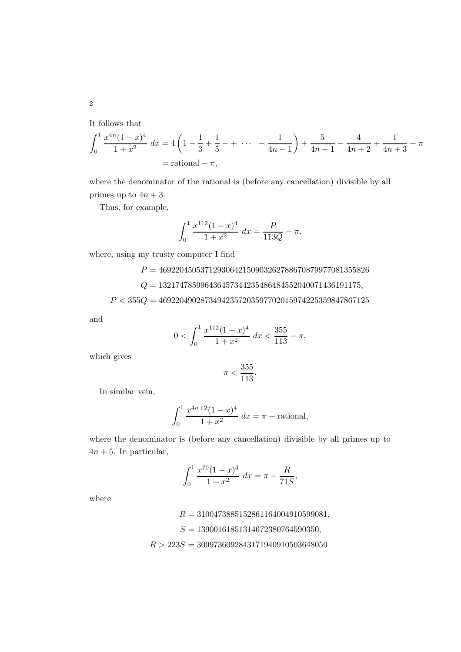It follows that

$$
\int_0^1 \frac{x^{4n}(1-x)^4}{1+x^2} dx = 4\left(1 - \frac{1}{3} + \frac{1}{5} - + \cdots - \frac{1}{4n-1}\right) + \frac{5}{4n+1} - \frac{4}{4n+2} + \frac{1}{4n+3} - \pi
$$
  
= rational -  $\pi$ ,

where the denominator of the rational is (before any cancellation) divisible by all primes up to  $4n + 3$ .

Thus, for example,

$$
\int_0^1 \frac{x^{112}(1-x)^4}{1+x^2} \, dx = \frac{P}{113Q} - \pi,
$$

where, using my trusty computer I find

 $P = 46922045053712930642150903262788670879977081355826$ 

 $Q = 132174785996436457344235486484552040071436191175,$ 

 $P < 355 Q = 46922049028734942357203597702015974225359847867125$ 

and

$$
0 < \int_0^1 \frac{x^{112}(1-x)^4}{1+x^2} \, dx < \frac{355}{113} - \pi,
$$

which gives

$$
\pi < \frac{355}{113}.
$$

In similar vein,

$$
\int_0^1 \frac{x^{4n+2}(1-x)^4}{1+x^2} \, dx = \pi - \text{rational},
$$

where the denominator is (before any cancellation) divisible by all primes up to  $4n + 5$ . In particular,

$$
\int_0^1 \frac{x^{70}(1-x)^4}{1+x^2} \, dx = \pi - \frac{R}{71S},
$$

where

 $R = 3100473885152861164004910599081,$  $S = 13900161851314672380764590350,$  $R > 223S = 3099736092843171940910503648050$